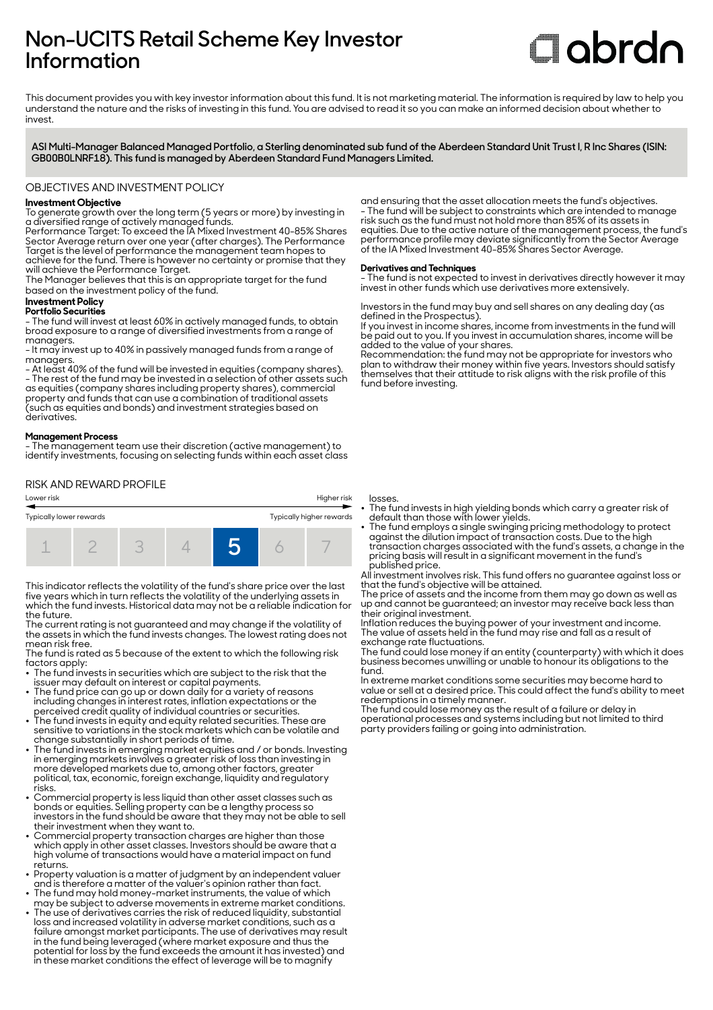## **Non-UCITS Retail Scheme Key Investor Information**

# **Clobrdn**

This document provides you with key investor information about this fund. It is not marketing material. The information is required by law to help you understand the nature and the risks of investing in this fund. You are advised to read it so you can make an informed decision about whether to invest

**ASI Multi-Manager Balanced Managed Portfolio, a Sterling denominated sub fund of the Aberdeen Standard Unit Trust I, R Inc Shares (ISIN: GB00B0LNRF18). This fund is managed by Aberdeen Standard Fund Managers Limited.**

#### OBJECTIVES AND INVESTMENT POLICY

#### **Investment Objective**

To generate growth over the long term (5 years or more) by investing in a diversified range of actively managed funds.

Performance Target: To exceed the IA Mixed Investment 40-85% Shares Sector Average return over one year (after charges). The Performance Target is the level of performance the management team hopes to achieve for the fund. There is however no certainty or promise that they will achieve the Performance Target.

The Manager believes that this is an appropriate target for the fund based on the investment policy of the fund.

#### **Investment Policy**

**Portfolio Securities** - The fund will invest at least 60% in actively managed funds, to obtain broad exposure to a range of diversified investments from a range of managers.

- It may invest up to 40% in passively managed funds from a range of managers.

- At least 40% of the fund will be invested in equities (company shares). - The rest of the fund may be invested in a selection of other assets such as equities (company shares including property shares), commercial property and funds that can use a combination of traditional assets (such as equities and bonds) and investment strategies based on derivatives.

#### **Management Process**

- The management team use their discretion (active management) to identify investments, focusing on selecting funds within each asset class

RISK AND REWARD PROFILE





This indicator reflects the volatility of the fund's share price over the last five years which in turn reflects the volatility of the underlying assets in which the fund invests. Historical data may not be a reliable indication for the future.

The current rating is not guaranteed and may change if the volatility of the assets in which the fund invests changes. The lowest rating does not mean risk free.

The fund is rated as 5 because of the extent to which the following risk factors apply:

- The fund invests in securities which are subject to the risk that the issuer may default on interest or capital payments.
- The fund price can go up or down daily for a variety of reasons including changes in interest rates, inflation expectations or the perceived credit quality of individual countries or securities. 2 The fund invests in equity and equity related securities. These are
- sensitive to variations in the stock markets which can be volatile and change substantially in short periods of time.
- The fund invests in emerging market equities and / or bonds. Investing in emerging markets involves a greater risk of loss than investing in more developed markets due to, among other factors, greater political, tax, economic, foreign exchange, liquidity and regulatory risks.
- Commercial property is less liquid than other asset classes such as bonds or equities. Selling property can be a lengthy process so investors in the fund should be aware that they may not be able to sell their investment when they want to.
- Commercial property transaction charges are higher than those which apply in other asset classes. Investors should be aware that a high volume of transactions would have a material impact on fund returns.
- Property valuation is a matter of judgment by an independent valuer and is therefore a matter of the valuer's opinion rather than fact.
- The fund may hold money-market instruments, the value of which may be subject to adverse movements in extreme market conditions. The use of derivatives carries the risk of reduced liquidity, substantial loss and increased volatility in adverse market conditions, such as a failure amongst market participants. The use of derivatives may result in the fund being leveraged (where market exposure and thus the

potential for loss by the fund exceeds the amount it has invested) and in these market conditions the effect of leverage will be to magnify

and ensuring that the asset allocation meets the fund's objectives. - The fund will be subject to constraints which are intended to manage risk such as the fund must not hold more than 85% of its assets in equities. Due to the active nature of the management process, the fund's performance profile may deviate significantly from the Sector Average of the IA Mixed Investment 40-85% Shares Sector Average.

#### **Derivatives and Techniques**

- The fund is not expected to invest in derivatives directly however it may invest in other funds which use derivatives more extensively.

Investors in the fund may buy and sell shares on any dealing day (as defined in the Prospectus).

If you invest in income shares, income from investments in the fund will be paid out to you. If you invest in accumulation shares, income will be added to the value of your shares.

Recommendation: the fund may not be appropriate for investors who plan to withdraw their money within five years. Investors should satisfy themselves that their attitude to risk aligns with the risk profile of this fund before investing.

losses.

- The fund invests in high yielding bonds which carry a greater risk of default than those with lower yields.
- The fund employs a single swinging pricing methodology to protect against the dilution impact of transaction costs. Due to the high transaction charges associated with the fund's assets, a change in the pricing basis will result in a significant movement in the fund's published price.

All investment involves risk. This fund offers no guarantee against loss or that the fund's objective will be attained.

The price of assets and the income from them may go down as well as up and cannot be guaranteed; an investor may receive back less than their original investment.

Inflation reduces the buying power of your investment and income. The value of assets held in the fund may rise and fall as a result of exchange rate fluctuations.

The fund could lose money if an entity (counterparty) with which it does business becomes unwilling or unable to honour its obligations to the fund.

In extreme market conditions some securities may become hard to value or sell at a desired price. This could affect the fund's ability to meet redemptions in a timely manner.

The fund could lose money as the result of a failure or delay in operational processes and systems including but not limited to third party providers failing or going into administration.